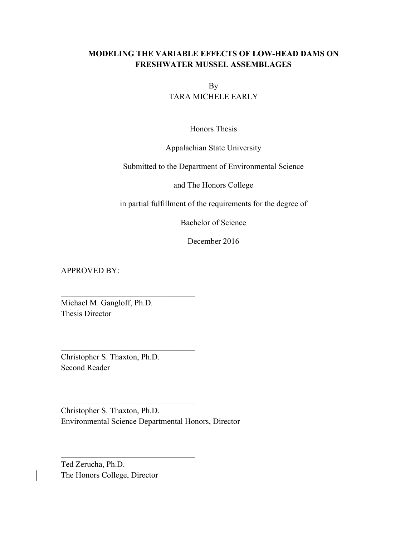# **MODELING THE VARIABLE EFFECTS OF LOW-HEAD DAMS ON FRESHWATER MUSSEL ASSEMBLAGES**

By TARA MICHELE EARLY

Honors Thesis

# Appalachian State University

Submitted to the Department of Environmental Science

and The Honors College

in partial fulfillment of the requirements for the degree of

Bachelor of Science

December 2016

APPROVED BY:

Michael M. Gangloff, Ph.D. Thesis Director

 $\mathcal{L}_\text{max}$ 

 $\mathcal{L}_\text{max}$ 

 $\mathcal{L}_\text{max}$ 

 $\mathcal{L}_\text{max}$ 

Christopher S. Thaxton, Ph.D. Second Reader

Christopher S. Thaxton, Ph.D. Environmental Science Departmental Honors, Director

Ted Zerucha, Ph.D. The Honors College, Director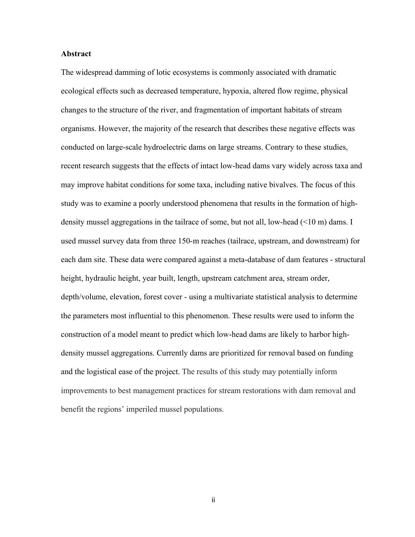# **Abstract**

The widespread damming of lotic ecosystems is commonly associated with dramatic ecological effects such as decreased temperature, hypoxia, altered flow regime, physical changes to the structure of the river, and fragmentation of important habitats of stream organisms. However, the majority of the research that describes these negative effects was conducted on large-scale hydroelectric dams on large streams. Contrary to these studies, recent research suggests that the effects of intact low-head dams vary widely across taxa and may improve habitat conditions for some taxa, including native bivalves. The focus of this study was to examine a poorly understood phenomena that results in the formation of highdensity mussel aggregations in the tailrace of some, but not all, low-head (<10 m) dams. I used mussel survey data from three 150-m reaches (tailrace, upstream, and downstream) for each dam site. These data were compared against a meta-database of dam features - structural height, hydraulic height, year built, length, upstream catchment area, stream order, depth/volume, elevation, forest cover - using a multivariate statistical analysis to determine the parameters most influential to this phenomenon. These results were used to inform the construction of a model meant to predict which low-head dams are likely to harbor highdensity mussel aggregations. Currently dams are prioritized for removal based on funding and the logistical ease of the project. The results of this study may potentially inform improvements to best management practices for stream restorations with dam removal and benefit the regions' imperiled mussel populations.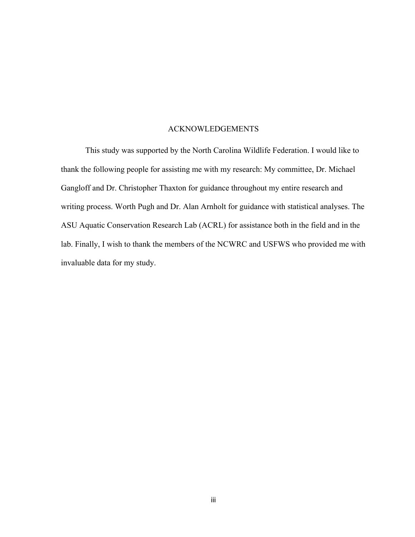#### ACKNOWLEDGEMENTS

This study was supported by the North Carolina Wildlife Federation. I would like to thank the following people for assisting me with my research: My committee, Dr. Michael Gangloff and Dr. Christopher Thaxton for guidance throughout my entire research and writing process. Worth Pugh and Dr. Alan Arnholt for guidance with statistical analyses. The ASU Aquatic Conservation Research Lab (ACRL) for assistance both in the field and in the lab. Finally, I wish to thank the members of the NCWRC and USFWS who provided me with invaluable data for my study.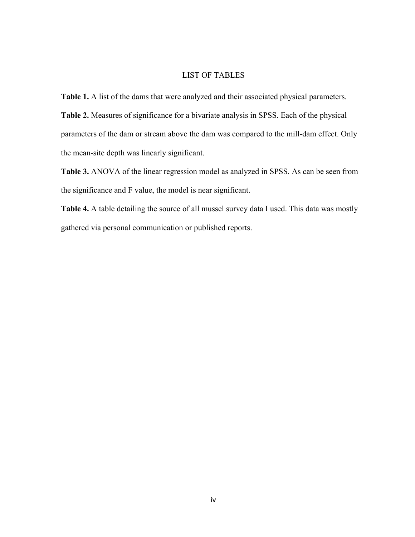# LIST OF TABLES

**Table 1.** A list of the dams that were analyzed and their associated physical parameters. **Table 2.** Measures of significance for a bivariate analysis in SPSS. Each of the physical parameters of the dam or stream above the dam was compared to the mill-dam effect. Only the mean-site depth was linearly significant.

**Table 3.** ANOVA of the linear regression model as analyzed in SPSS. As can be seen from the significance and F value, the model is near significant.

Table 4. A table detailing the source of all mussel survey data I used. This data was mostly gathered via personal communication or published reports.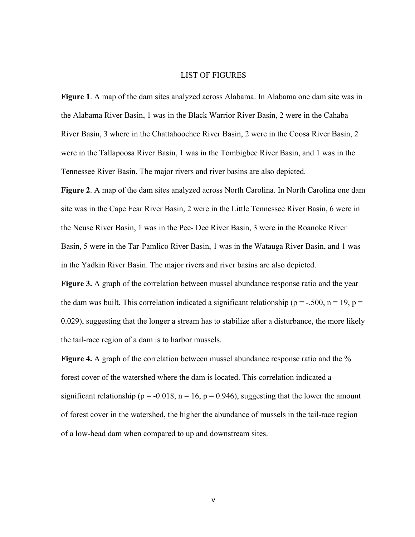# LIST OF FIGURES

**Figure 1**. A map of the dam sites analyzed across Alabama. In Alabama one dam site was in the Alabama River Basin, 1 was in the Black Warrior River Basin, 2 were in the Cahaba River Basin, 3 where in the Chattahoochee River Basin, 2 were in the Coosa River Basin, 2 were in the Tallapoosa River Basin, 1 was in the Tombigbee River Basin, and 1 was in the Tennessee River Basin. The major rivers and river basins are also depicted.

**Figure 2**. A map of the dam sites analyzed across North Carolina. In North Carolina one dam site was in the Cape Fear River Basin, 2 were in the Little Tennessee River Basin, 6 were in the Neuse River Basin, 1 was in the Pee- Dee River Basin, 3 were in the Roanoke River Basin, 5 were in the Tar-Pamlico River Basin, 1 was in the Watauga River Basin, and 1 was in the Yadkin River Basin. The major rivers and river basins are also depicted.

**Figure 3.** A graph of the correlation between mussel abundance response ratio and the year the dam was built. This correlation indicated a significant relationship ( $\rho = -.500$ ,  $n = 19$ ,  $p =$ 0.029), suggesting that the longer a stream has to stabilize after a disturbance, the more likely the tail-race region of a dam is to harbor mussels.

**Figure 4.** A graph of the correlation between mussel abundance response ratio and the % forest cover of the watershed where the dam is located. This correlation indicated a significant relationship ( $\rho = -0.018$ ,  $n = 16$ ,  $p = 0.946$ ), suggesting that the lower the amount of forest cover in the watershed, the higher the abundance of mussels in the tail-race region of a low-head dam when compared to up and downstream sites.

v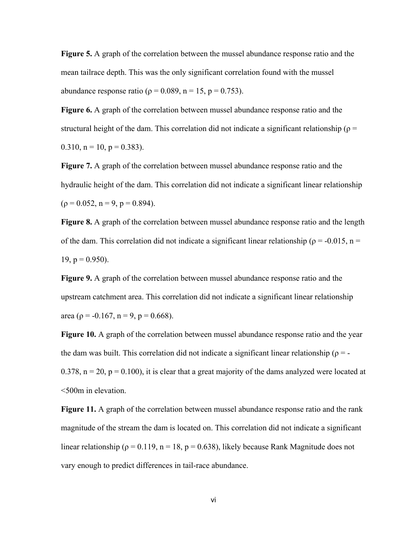**Figure 5.** A graph of the correlation between the mussel abundance response ratio and the mean tailrace depth. This was the only significant correlation found with the mussel abundance response ratio ( $\rho = 0.089$ , n = 15, p = 0.753).

**Figure 6.** A graph of the correlation between mussel abundance response ratio and the structural height of the dam. This correlation did not indicate a significant relationship ( $\rho$  = 0.310,  $n = 10$ ,  $p = 0.383$ ).

**Figure 7.** A graph of the correlation between mussel abundance response ratio and the hydraulic height of the dam. This correlation did not indicate a significant linear relationship  $(p = 0.052, n = 9, p = 0.894).$ 

**Figure 8.** A graph of the correlation between mussel abundance response ratio and the length of the dam. This correlation did not indicate a significant linear relationship ( $\rho = -0.015$ , n =  $19$ ,  $p = 0.950$ ).

**Figure 9.** A graph of the correlation between mussel abundance response ratio and the upstream catchment area. This correlation did not indicate a significant linear relationship area ( $p = -0.167$ ,  $n = 9$ ,  $p = 0.668$ ).

**Figure 10.** A graph of the correlation between mussel abundance response ratio and the year the dam was built. This correlation did not indicate a significant linear relationship ( $\rho = -$ 0.378,  $n = 20$ ,  $p = 0.100$ ), it is clear that a great majority of the dams analyzed were located at <500m in elevation.

**Figure 11.** A graph of the correlation between mussel abundance response ratio and the rank magnitude of the stream the dam is located on. This correlation did not indicate a significant linear relationship ( $\rho = 0.119$ , n = 18, p = 0.638), likely because Rank Magnitude does not vary enough to predict differences in tail-race abundance.

vi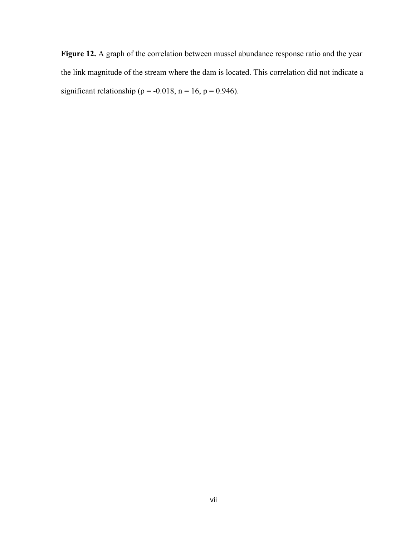**Figure 12.** A graph of the correlation between mussel abundance response ratio and the year the link magnitude of the stream where the dam is located. This correlation did not indicate a significant relationship ( $p = -0.018$ , n = 16, p = 0.946).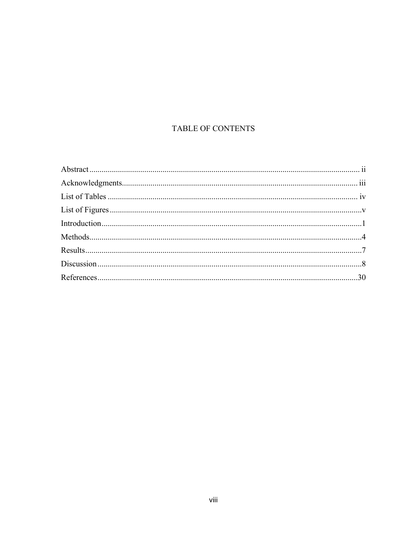# TABLE OF CONTENTS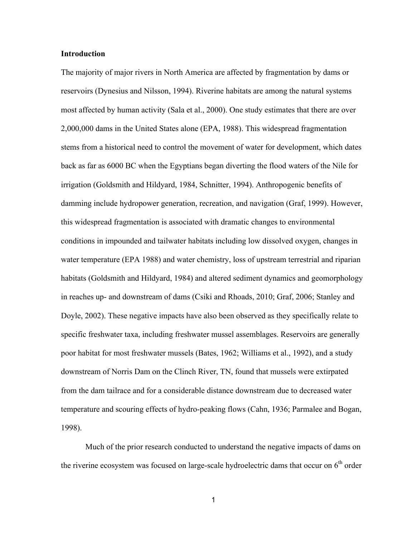## **Introduction**

The majority of major rivers in North America are affected by fragmentation by dams or reservoirs (Dynesius and Nilsson, 1994). Riverine habitats are among the natural systems most affected by human activity (Sala et al., 2000). One study estimates that there are over 2,000,000 dams in the United States alone (EPA, 1988). This widespread fragmentation stems from a historical need to control the movement of water for development, which dates back as far as 6000 BC when the Egyptians began diverting the flood waters of the Nile for irrigation (Goldsmith and Hildyard, 1984, Schnitter, 1994). Anthropogenic benefits of damming include hydropower generation, recreation, and navigation (Graf, 1999). However, this widespread fragmentation is associated with dramatic changes to environmental conditions in impounded and tailwater habitats including low dissolved oxygen, changes in water temperature (EPA 1988) and water chemistry, loss of upstream terrestrial and riparian habitats (Goldsmith and Hildyard, 1984) and altered sediment dynamics and geomorphology in reaches up- and downstream of dams (Csiki and Rhoads, 2010; Graf, 2006; Stanley and Doyle, 2002). These negative impacts have also been observed as they specifically relate to specific freshwater taxa, including freshwater mussel assemblages. Reservoirs are generally poor habitat for most freshwater mussels (Bates, 1962; Williams et al., 1992), and a study downstream of Norris Dam on the Clinch River, TN, found that mussels were extirpated from the dam tailrace and for a considerable distance downstream due to decreased water temperature and scouring effects of hydro-peaking flows (Cahn, 1936; Parmalee and Bogan, 1998).

Much of the prior research conducted to understand the negative impacts of dams on the riverine ecosystem was focused on large-scale hydroelectric dams that occur on  $6<sup>th</sup>$  order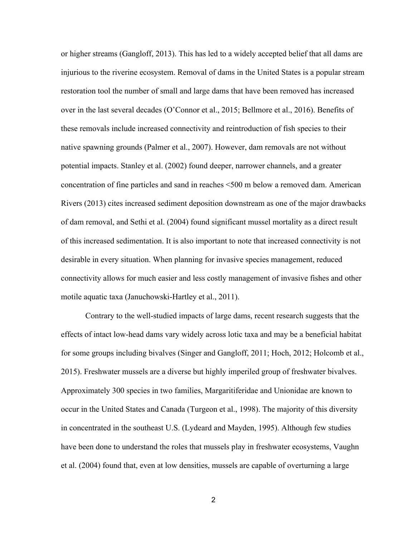or higher streams (Gangloff, 2013). This has led to a widely accepted belief that all dams are injurious to the riverine ecosystem. Removal of dams in the United States is a popular stream restoration tool the number of small and large dams that have been removed has increased over in the last several decades (O'Connor et al., 2015; Bellmore et al., 2016). Benefits of these removals include increased connectivity and reintroduction of fish species to their native spawning grounds (Palmer et al., 2007). However, dam removals are not without potential impacts. Stanley et al. (2002) found deeper, narrower channels, and a greater concentration of fine particles and sand in reaches <500 m below a removed dam. American Rivers (2013) cites increased sediment deposition downstream as one of the major drawbacks of dam removal, and Sethi et al. (2004) found significant mussel mortality as a direct result of this increased sedimentation. It is also important to note that increased connectivity is not desirable in every situation. When planning for invasive species management, reduced connectivity allows for much easier and less costly management of invasive fishes and other motile aquatic taxa (Januchowski-Hartley et al., 2011).

Contrary to the well-studied impacts of large dams, recent research suggests that the effects of intact low-head dams vary widely across lotic taxa and may be a beneficial habitat for some groups including bivalves (Singer and Gangloff, 2011; Hoch, 2012; Holcomb et al., 2015). Freshwater mussels are a diverse but highly imperiled group of freshwater bivalves. Approximately 300 species in two families, Margaritiferidae and Unionidae are known to occur in the United States and Canada (Turgeon et al., 1998). The majority of this diversity in concentrated in the southeast U.S. (Lydeard and Mayden, 1995). Although few studies have been done to understand the roles that mussels play in freshwater ecosystems, Vaughn et al. (2004) found that, even at low densities, mussels are capable of overturning a large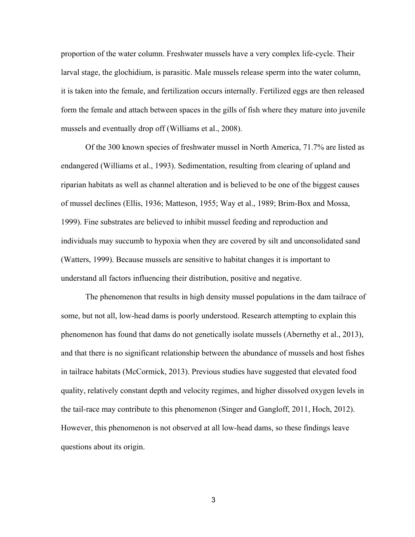proportion of the water column. Freshwater mussels have a very complex life-cycle. Their larval stage, the glochidium, is parasitic. Male mussels release sperm into the water column, it is taken into the female, and fertilization occurs internally. Fertilized eggs are then released form the female and attach between spaces in the gills of fish where they mature into juvenile mussels and eventually drop off (Williams et al., 2008).

Of the 300 known species of freshwater mussel in North America, 71.7% are listed as endangered (Williams et al., 1993). Sedimentation, resulting from clearing of upland and riparian habitats as well as channel alteration and is believed to be one of the biggest causes of mussel declines (Ellis, 1936; Matteson, 1955; Way et al., 1989; Brim-Box and Mossa, 1999). Fine substrates are believed to inhibit mussel feeding and reproduction and individuals may succumb to hypoxia when they are covered by silt and unconsolidated sand (Watters, 1999). Because mussels are sensitive to habitat changes it is important to understand all factors influencing their distribution, positive and negative.

The phenomenon that results in high density mussel populations in the dam tailrace of some, but not all, low-head dams is poorly understood. Research attempting to explain this phenomenon has found that dams do not genetically isolate mussels (Abernethy et al., 2013), and that there is no significant relationship between the abundance of mussels and host fishes in tailrace habitats (McCormick, 2013). Previous studies have suggested that elevated food quality, relatively constant depth and velocity regimes, and higher dissolved oxygen levels in the tail-race may contribute to this phenomenon (Singer and Gangloff, 2011, Hoch, 2012). However, this phenomenon is not observed at all low-head dams, so these findings leave questions about its origin.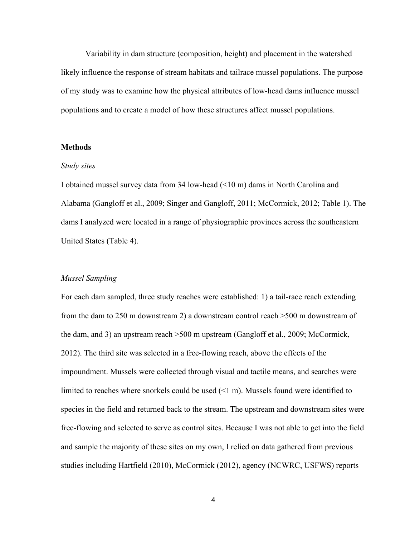Variability in dam structure (composition, height) and placement in the watershed likely influence the response of stream habitats and tailrace mussel populations. The purpose of my study was to examine how the physical attributes of low-head dams influence mussel populations and to create a model of how these structures affect mussel populations.

## **Methods**

#### *Study sites*

I obtained mussel survey data from 34 low-head (<10 m) dams in North Carolina and Alabama (Gangloff et al., 2009; Singer and Gangloff, 2011; McCormick, 2012; Table 1). The dams I analyzed were located in a range of physiographic provinces across the southeastern United States (Table 4).

#### *Mussel Sampling*

For each dam sampled, three study reaches were established: 1) a tail-race reach extending from the dam to 250 m downstream 2) a downstream control reach >500 m downstream of the dam, and 3) an upstream reach >500 m upstream (Gangloff et al., 2009; McCormick, 2012). The third site was selected in a free-flowing reach, above the effects of the impoundment. Mussels were collected through visual and tactile means, and searches were limited to reaches where snorkels could be used (<1 m). Mussels found were identified to species in the field and returned back to the stream. The upstream and downstream sites were free-flowing and selected to serve as control sites. Because I was not able to get into the field and sample the majority of these sites on my own, I relied on data gathered from previous studies including Hartfield (2010), McCormick (2012), agency (NCWRC, USFWS) reports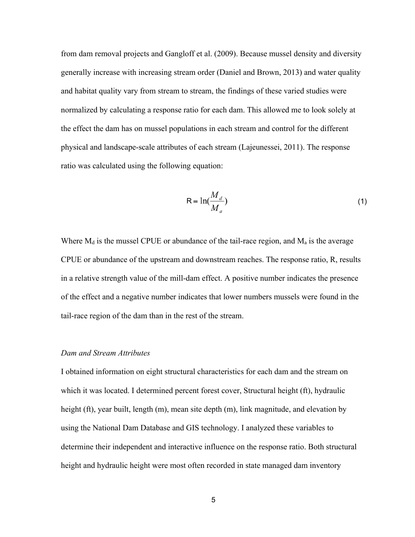from dam removal projects and Gangloff et al. (2009). Because mussel density and diversity generally increase with increasing stream order (Daniel and Brown, 2013) and water quality and habitat quality vary from stream to stream, the findings of these varied studies were normalized by calculating a response ratio for each dam. This allowed me to look solely at the effect the dam has on mussel populations in each stream and control for the different physical and landscape-scale attributes of each stream (Lajeunessei, 2011). The response ratio was calculated using the following equation:

$$
R = \ln(\frac{M_d}{M_a})
$$
 (1)

Where  $M_d$  is the mussel CPUE or abundance of the tail-race region, and  $M_a$  is the average CPUE or abundance of the upstream and downstream reaches. The response ratio, R, results in a relative strength value of the mill-dam effect. A positive number indicates the presence of the effect and a negative number indicates that lower numbers mussels were found in the tail-race region of the dam than in the rest of the stream.

#### *Dam and Stream Attributes*

I obtained information on eight structural characteristics for each dam and the stream on which it was located. I determined percent forest cover, Structural height (ft), hydraulic height (ft), year built, length (m), mean site depth (m), link magnitude, and elevation by using the National Dam Database and GIS technology. I analyzed these variables to determine their independent and interactive influence on the response ratio. Both structural height and hydraulic height were most often recorded in state managed dam inventory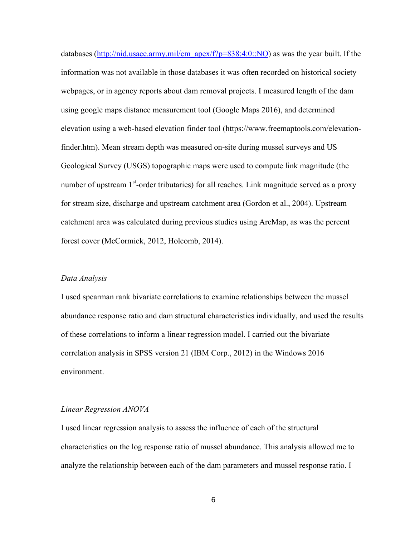databases (http://nid.usace.army.mil/cm\_apex/f?p=838:4:0::NO) as was the year built. If the information was not available in those databases it was often recorded on historical society webpages, or in agency reports about dam removal projects. I measured length of the dam using google maps distance measurement tool (Google Maps 2016), and determined elevation using a web-based elevation finder tool (https://www.freemaptools.com/elevationfinder.htm). Mean stream depth was measured on-site during mussel surveys and US Geological Survey (USGS) topographic maps were used to compute link magnitude (the number of upstream 1<sup>st</sup>-order tributaries) for all reaches. Link magnitude served as a proxy for stream size, discharge and upstream catchment area (Gordon et al., 2004). Upstream catchment area was calculated during previous studies using ArcMap, as was the percent forest cover (McCormick, 2012, Holcomb, 2014).

## *Data Analysis*

I used spearman rank bivariate correlations to examine relationships between the mussel abundance response ratio and dam structural characteristics individually, and used the results of these correlations to inform a linear regression model. I carried out the bivariate correlation analysis in SPSS version 21 (IBM Corp., 2012) in the Windows 2016 environment.

#### *Linear Regression ANOVA*

I used linear regression analysis to assess the influence of each of the structural characteristics on the log response ratio of mussel abundance. This analysis allowed me to analyze the relationship between each of the dam parameters and mussel response ratio. I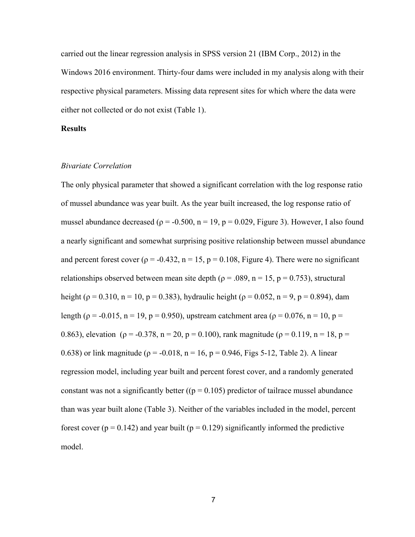carried out the linear regression analysis in SPSS version 21 (IBM Corp., 2012) in the Windows 2016 environment. Thirty-four dams were included in my analysis along with their respective physical parameters. Missing data represent sites for which where the data were either not collected or do not exist (Table 1).

# **Results**

# *Bivariate Correlation*

The only physical parameter that showed a significant correlation with the log response ratio of mussel abundance was year built. As the year built increased, the log response ratio of mussel abundance decreased ( $p = -0.500$ ,  $n = 19$ ,  $p = 0.029$ , Figure 3). However, I also found a nearly significant and somewhat surprising positive relationship between mussel abundance and percent forest cover ( $\rho = -0.432$ ,  $n = 15$ ,  $p = 0.108$ , Figure 4). There were no significant relationships observed between mean site depth ( $\rho = .089$ , n = 15, p = 0.753), structural height ( $p = 0.310$ ,  $n = 10$ ,  $p = 0.383$ ), hydraulic height ( $p = 0.052$ ,  $n = 9$ ,  $p = 0.894$ ), dam length ( $p = -0.015$ ,  $n = 19$ ,  $p = 0.950$ ), upstream catchment area ( $p = 0.076$ ,  $n = 10$ ,  $p =$ 0.863), elevation ( $\rho = -0.378$ ,  $n = 20$ ,  $p = 0.100$ ), rank magnitude ( $\rho = 0.119$ ,  $n = 18$ ,  $p =$ 0.638) or link magnitude ( $p = -0.018$ ,  $n = 16$ ,  $p = 0.946$ , Figs 5-12, Table 2). A linear regression model, including year built and percent forest cover, and a randomly generated constant was not a significantly better ( $(p = 0.105)$ ) predictor of tailrace mussel abundance than was year built alone (Table 3). Neither of the variables included in the model, percent forest cover ( $p = 0.142$ ) and year built ( $p = 0.129$ ) significantly informed the predictive model.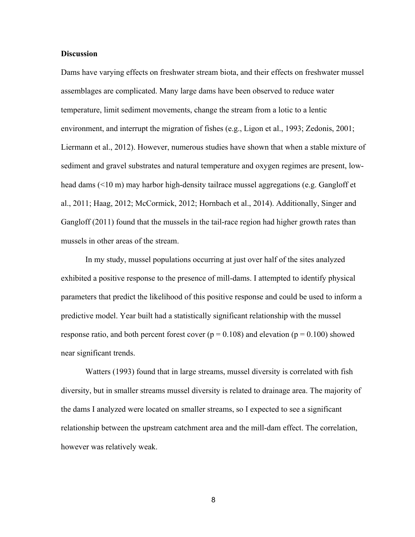### **Discussion**

Dams have varying effects on freshwater stream biota, and their effects on freshwater mussel assemblages are complicated. Many large dams have been observed to reduce water temperature, limit sediment movements, change the stream from a lotic to a lentic environment, and interrupt the migration of fishes (e.g., Ligon et al., 1993; Zedonis, 2001; Liermann et al., 2012). However, numerous studies have shown that when a stable mixture of sediment and gravel substrates and natural temperature and oxygen regimes are present, lowhead dams (<10 m) may harbor high-density tailrace mussel aggregations (e.g. Gangloff et al., 2011; Haag, 2012; McCormick, 2012; Hornbach et al., 2014). Additionally, Singer and Gangloff (2011) found that the mussels in the tail-race region had higher growth rates than mussels in other areas of the stream.

In my study, mussel populations occurring at just over half of the sites analyzed exhibited a positive response to the presence of mill-dams. I attempted to identify physical parameters that predict the likelihood of this positive response and could be used to inform a predictive model. Year built had a statistically significant relationship with the mussel response ratio, and both percent forest cover ( $p = 0.108$ ) and elevation ( $p = 0.100$ ) showed near significant trends.

Watters (1993) found that in large streams, mussel diversity is correlated with fish diversity, but in smaller streams mussel diversity is related to drainage area. The majority of the dams I analyzed were located on smaller streams, so I expected to see a significant relationship between the upstream catchment area and the mill-dam effect. The correlation, however was relatively weak.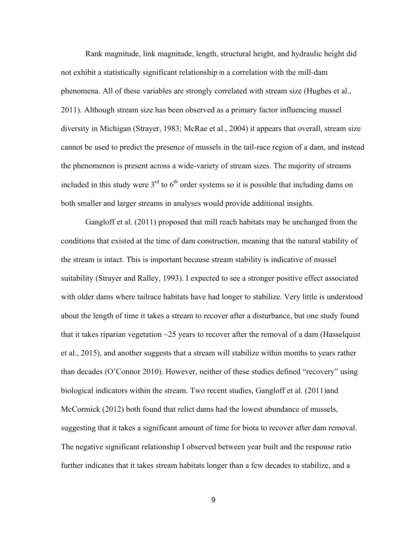Rank magnitude, link magnitude, length, structural height, and hydraulic height did not exhibit a statistically significant relationship in a correlation with the mill-dam phenomena. All of these variables are strongly correlated with stream size (Hughes et al., 2011). Although stream size has been observed as a primary factor influencing mussel diversity in Michigan (Strayer, 1983; McRae et al., 2004) it appears that overall, stream size cannot be used to predict the presence of mussels in the tail-race region of a dam, and instead the phenomenon is present across a wide-variety of stream sizes. The majority of streams included in this study were  $3<sup>rd</sup>$  to  $6<sup>th</sup>$  order systems so it is possible that including dams on both smaller and larger streams in analyses would provide additional insights.

Gangloff et al. (2011) proposed that mill reach habitats may be unchanged from the conditions that existed at the time of dam construction, meaning that the natural stability of the stream is intact. This is important because stream stability is indicative of mussel suitability (Strayer and Ralley, 1993). I expected to see a stronger positive effect associated with older dams where tailrace habitats have had longer to stabilize. Very little is understood about the length of time it takes a stream to recover after a disturbance, but one study found that it takes riparian vegetation  $\sim$ 25 years to recover after the removal of a dam (Hasselquist et al., 2015), and another suggests that a stream will stabilize within months to years rather than decades (O'Connor 2010). However, neither of these studies defined "recovery" using biological indicators within the stream. Two recent studies, Gangloff et al. (2011)and McCormick (2012) both found that relict dams had the lowest abundance of mussels, suggesting that it takes a significant amount of time for biota to recover after dam removal. The negative significant relationship I observed between year built and the response ratio further indicates that it takes stream habitats longer than a few decades to stabilize, and a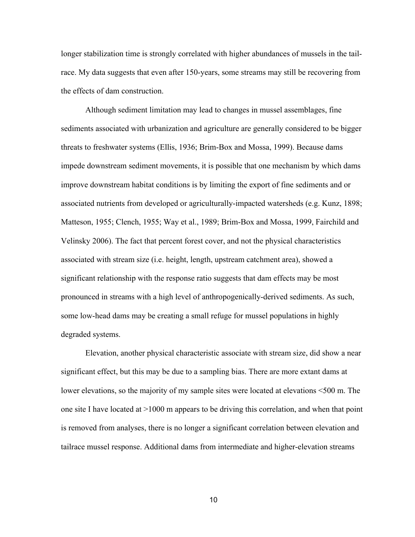longer stabilization time is strongly correlated with higher abundances of mussels in the tailrace. My data suggests that even after 150-years, some streams may still be recovering from the effects of dam construction.

Although sediment limitation may lead to changes in mussel assemblages, fine sediments associated with urbanization and agriculture are generally considered to be bigger threats to freshwater systems (Ellis, 1936; Brim-Box and Mossa, 1999). Because dams impede downstream sediment movements, it is possible that one mechanism by which dams improve downstream habitat conditions is by limiting the export of fine sediments and or associated nutrients from developed or agriculturally-impacted watersheds (e.g. Kunz, 1898; Matteson, 1955; Clench, 1955; Way et al., 1989; Brim-Box and Mossa, 1999, Fairchild and Velinsky 2006). The fact that percent forest cover, and not the physical characteristics associated with stream size (i.e. height, length, upstream catchment area), showed a significant relationship with the response ratio suggests that dam effects may be most pronounced in streams with a high level of anthropogenically-derived sediments. As such, some low-head dams may be creating a small refuge for mussel populations in highly degraded systems.

Elevation, another physical characteristic associate with stream size, did show a near significant effect, but this may be due to a sampling bias. There are more extant dams at lower elevations, so the majority of my sample sites were located at elevations <500 m. The one site I have located at >1000 m appears to be driving this correlation, and when that point is removed from analyses, there is no longer a significant correlation between elevation and tailrace mussel response. Additional dams from intermediate and higher-elevation streams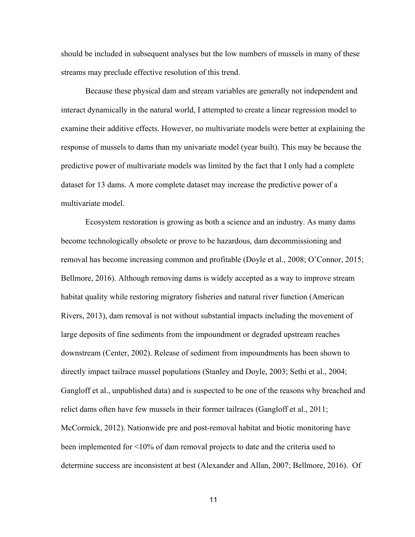should be included in subsequent analyses but the low numbers of mussels in many of these streams may preclude effective resolution of this trend.

Because these physical dam and stream variables are generally not independent and interact dynamically in the natural world, I attempted to create a linear regression model to examine their additive effects. However, no multivariate models were better at explaining the response of mussels to dams than my univariate model (year built). This may be because the predictive power of multivariate models was limited by the fact that I only had a complete dataset for 13 dams. A more complete dataset may increase the predictive power of a multivariate model.

Ecosystem restoration is growing as both a science and an industry. As many dams become technologically obsolete or prove to be hazardous, dam decommissioning and removal has become increasing common and profitable (Doyle et al., 2008; O'Connor, 2015; Bellmore, 2016). Although removing dams is widely accepted as a way to improve stream habitat quality while restoring migratory fisheries and natural river function (American Rivers, 2013), dam removal is not without substantial impacts including the movement of large deposits of fine sediments from the impoundment or degraded upstream reaches downstream (Center, 2002). Release of sediment from impoundments has been shown to directly impact tailrace mussel populations (Stanley and Doyle, 2003; Sethi et al., 2004; Gangloff et al., unpublished data) and is suspected to be one of the reasons why breached and relict dams often have few mussels in their former tailraces (Gangloff et al., 2011; McCormick, 2012). Nationwide pre and post-removal habitat and biotic monitoring have been implemented for <10% of dam removal projects to date and the criteria used to determine success are inconsistent at best (Alexander and Allan, 2007; Bellmore, 2016). Of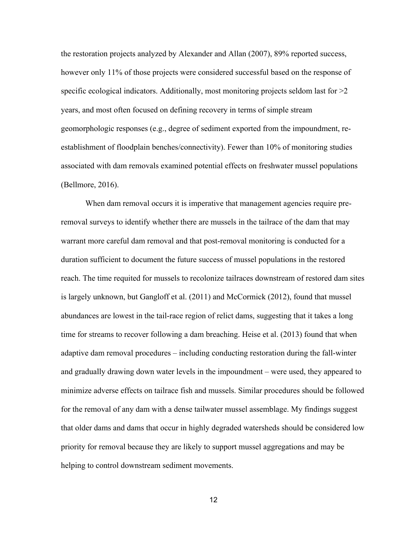the restoration projects analyzed by Alexander and Allan (2007), 89% reported success, however only 11% of those projects were considered successful based on the response of specific ecological indicators. Additionally, most monitoring projects seldom last for  $\geq 2$ years, and most often focused on defining recovery in terms of simple stream geomorphologic responses (e.g., degree of sediment exported from the impoundment, reestablishment of floodplain benches/connectivity). Fewer than 10% of monitoring studies associated with dam removals examined potential effects on freshwater mussel populations (Bellmore, 2016).

When dam removal occurs it is imperative that management agencies require preremoval surveys to identify whether there are mussels in the tailrace of the dam that may warrant more careful dam removal and that post-removal monitoring is conducted for a duration sufficient to document the future success of mussel populations in the restored reach. The time requited for mussels to recolonize tailraces downstream of restored dam sites is largely unknown, but Gangloff et al. (2011) and McCormick (2012), found that mussel abundances are lowest in the tail-race region of relict dams, suggesting that it takes a long time for streams to recover following a dam breaching. Heise et al. (2013) found that when adaptive dam removal procedures – including conducting restoration during the fall-winter and gradually drawing down water levels in the impoundment – were used, they appeared to minimize adverse effects on tailrace fish and mussels. Similar procedures should be followed for the removal of any dam with a dense tailwater mussel assemblage. My findings suggest that older dams and dams that occur in highly degraded watersheds should be considered low priority for removal because they are likely to support mussel aggregations and may be helping to control downstream sediment movements.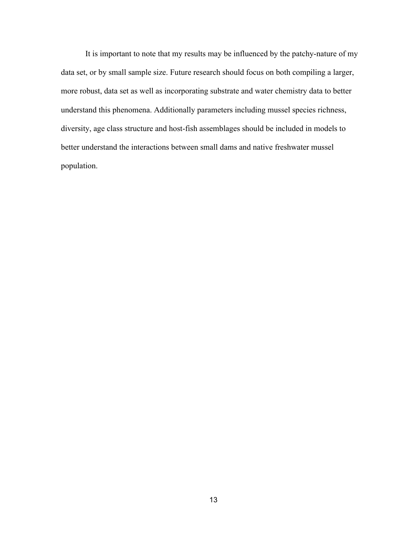It is important to note that my results may be influenced by the patchy-nature of my data set, or by small sample size. Future research should focus on both compiling a larger, more robust, data set as well as incorporating substrate and water chemistry data to better understand this phenomena. Additionally parameters including mussel species richness, diversity, age class structure and host-fish assemblages should be included in models to better understand the interactions between small dams and native freshwater mussel population.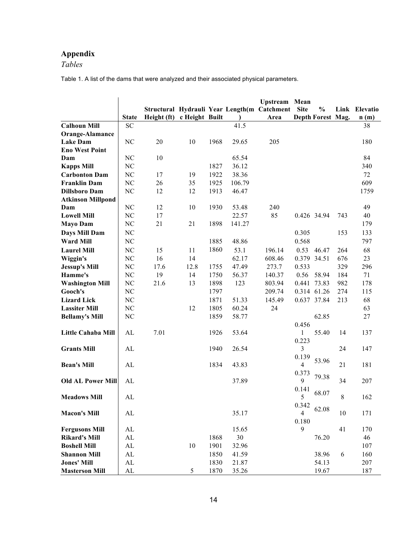# **Appendix**

*Tables*

Table 1. A list of the dams that were analyzed and their associated physical parameters.

|                          |                |             |                |      |        | Upstream Mean                               |                |                   |     |               |
|--------------------------|----------------|-------------|----------------|------|--------|---------------------------------------------|----------------|-------------------|-----|---------------|
|                          |                |             |                |      |        | Structural Hydrauli Year Length(m Catchment | <b>Site</b>    | $\frac{0}{0}$     |     | Link Elevatio |
|                          | <b>State</b>   | Height (ft) | c Height Built |      |        | Area                                        |                | Depth Forest Mag. |     | n(m)          |
| <b>Calhoun Mill</b>      | <b>SC</b>      |             |                |      | 41.5   |                                             |                |                   |     | 38            |
| Orange-Alamance          |                |             |                |      |        |                                             |                |                   |     |               |
| <b>Lake Dam</b>          | N <sub>C</sub> | 20          | 10             | 1968 | 29.65  | 205                                         |                |                   |     | 180           |
| <b>Eno West Point</b>    |                |             |                |      |        |                                             |                |                   |     |               |
| Dam                      | NC             | 10          |                |      | 65.54  |                                             |                |                   |     | 84            |
| <b>Kapps Mill</b>        | NC             |             |                | 1827 | 36.12  |                                             |                |                   |     | 340           |
| <b>Carbonton Dam</b>     | NC             | 17          | 19             | 1922 | 38.36  |                                             |                |                   |     | 72            |
| <b>Franklin Dam</b>      | NC             | 26          | 35             | 1925 | 106.79 |                                             |                |                   |     | 609           |
| <b>Dillsboro Dam</b>     | NC             | 12          | 12             | 1913 | 46.47  |                                             |                |                   |     | 1759          |
| <b>Atkinson Millpond</b> |                |             |                |      |        |                                             |                |                   |     |               |
| Dam                      | NC             | 12          | 10             | 1930 | 53.48  | 240                                         |                |                   |     | 49            |
| <b>Lowell Mill</b>       | $\rm NC$       | 17          |                |      | 22.57  | 85                                          |                | 0.426 34.94       | 743 | 40            |
| <b>Mayo Dam</b>          | NC             | 21          | 21             | 1898 | 141.27 |                                             |                |                   |     | 179           |
| Days Mill Dam            | NC             |             |                |      |        |                                             | 0.305          |                   | 153 | 133           |
| <b>Ward Mill</b>         | NC             |             |                | 1885 | 48.86  |                                             | 0.568          |                   |     | 797           |
| <b>Laurel Mill</b>       | NC             | 15          | 11             | 1860 | 53.1   | 196.14                                      | 0.53           | 46.47             | 264 | 68            |
| Wiggin's                 | NC             | 16          | 14             |      | 62.17  | 608.46                                      | 0.379 34.51    |                   | 676 | 23            |
| <b>Jessup's Mill</b>     | NC             | 17.6        | 12.8           | 1755 | 47.49  | 273.7                                       | 0.533          |                   | 329 | 296           |
| Hamme's                  | NC             | 19          | 14             | 1750 | 56.37  | 140.37                                      | 0.56           | 58.94             | 184 | 71            |
| <b>Washington Mill</b>   | NC             | 21.6        | 13             | 1898 | 123    | 803.94                                      | 0.441          | 73.83             | 982 | 178           |
| Gooch's                  | NC             |             |                | 1797 |        | 209.74                                      | 0.314 61.26    |                   | 274 | 115           |
| <b>Lizard Lick</b>       | NC             |             |                | 1871 | 51.33  | 145.49                                      | 0.637 37.84    |                   | 213 | 68            |
| <b>Lassiter Mill</b>     | NC             |             | 12             | 1805 | 60.24  | 24                                          |                |                   |     | 63            |
| <b>Bellamy's Mill</b>    | NC             |             |                | 1859 | 58.77  |                                             |                | 62.85             |     | 27            |
|                          |                |             |                |      |        |                                             | 0.456          |                   |     |               |
| Little Cahaba Mill       | AL             | 7.01        |                | 1926 | 53.64  |                                             | 1              | 55.40             | 14  | 137           |
|                          |                |             |                |      |        |                                             | 0.223          |                   |     |               |
| <b>Grants Mill</b>       | AL             |             |                | 1940 | 26.54  |                                             | 3              |                   | 24  | 147           |
|                          |                |             |                |      |        |                                             | 0.139          | 53.96             |     |               |
| <b>Bean's Mill</b>       | AL             |             |                | 1834 | 43.83  |                                             | $\overline{4}$ |                   | 21  | 181           |
|                          |                |             |                |      |        |                                             | 0.373          |                   |     |               |
| <b>Old AL Power Mill</b> | AL             |             |                |      | 37.89  |                                             | 9              | 79.38             | 34  | 207           |
|                          |                |             |                |      |        |                                             | 0.141          | 68.07             |     |               |
| <b>Meadows Mill</b>      | AL             |             |                |      |        |                                             | 5              |                   | 8   | 162           |
|                          |                |             |                |      |        |                                             | 0.342          | 62.08             |     |               |
| <b>Macon's Mill</b>      | AL             |             |                |      | 35.17  |                                             | $\overline{4}$ |                   | 10  | 171           |
|                          |                |             |                |      |        |                                             | 0.180          |                   |     |               |
| <b>Fergusons Mill</b>    | AL             |             |                |      | 15.65  |                                             | 9              |                   | 41  | 170           |
| <b>Rikard's Mill</b>     | AL             |             |                | 1868 | 30     |                                             |                | 76.20             |     | 46            |
| <b>Boshell Mill</b>      | ${\rm AL}$     |             | 10             | 1901 | 32.96  |                                             |                |                   |     | 107           |
| <b>Shannon Mill</b>      | ${\rm AL}$     |             |                | 1850 | 41.59  |                                             |                | 38.96             | 6   | 160           |
| <b>Jones' Mill</b>       | AL             |             |                | 1830 | 21.87  |                                             |                | 54.13             |     | 207           |
| <b>Masterson Mill</b>    | AL             |             | 5              | 1870 | 35.26  |                                             |                | 19.67             |     | 187           |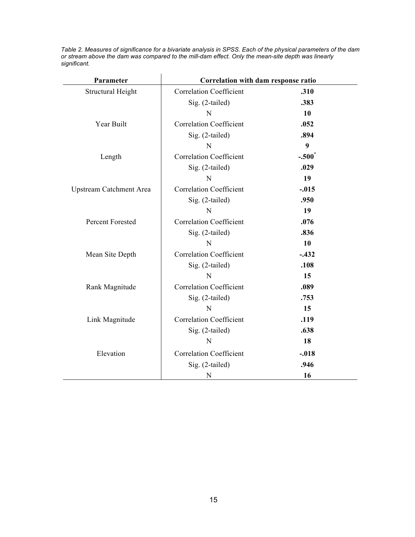*Table 2. Measures of significance for a bivariate analysis in SPSS. Each of the physical parameters of the dam or stream above the dam was compared to the mill-dam effect. Only the mean-site depth was linearly significant.*

| Parameter                | Correlation with dam response ratio |                   |  |
|--------------------------|-------------------------------------|-------------------|--|
| <b>Structural Height</b> | <b>Correlation Coefficient</b>      | .310              |  |
|                          | Sig. (2-tailed)                     | .383              |  |
|                          | N                                   | 10                |  |
| Year Built               | <b>Correlation Coefficient</b>      | .052              |  |
|                          | Sig. (2-tailed)                     | .894              |  |
|                          | N                                   | 9                 |  |
| Length                   | <b>Correlation Coefficient</b>      | $-.500^{\degree}$ |  |
|                          | Sig. (2-tailed)                     | .029              |  |
|                          | N                                   | 19                |  |
| Upstream Catchment Area  | <b>Correlation Coefficient</b>      | $-.015$           |  |
|                          | Sig. (2-tailed)                     | .950              |  |
|                          | N                                   | 19                |  |
| <b>Percent Forested</b>  | <b>Correlation Coefficient</b>      | .076              |  |
|                          | Sig. (2-tailed)                     | .836              |  |
|                          | N                                   | 10                |  |
| Mean Site Depth          | <b>Correlation Coefficient</b>      | $-.432$           |  |
|                          | Sig. (2-tailed)                     | .108              |  |
|                          | N                                   | 15                |  |
| Rank Magnitude           | <b>Correlation Coefficient</b>      | .089              |  |
|                          | Sig. (2-tailed)                     | .753              |  |
|                          | N                                   | 15                |  |
| Link Magnitude           | <b>Correlation Coefficient</b>      | .119              |  |
|                          | Sig. (2-tailed)                     | .638              |  |
|                          | N                                   | 18                |  |
| Elevation                | <b>Correlation Coefficient</b>      | $-.018$           |  |
|                          | Sig. (2-tailed)                     | .946              |  |
|                          | N                                   | 16                |  |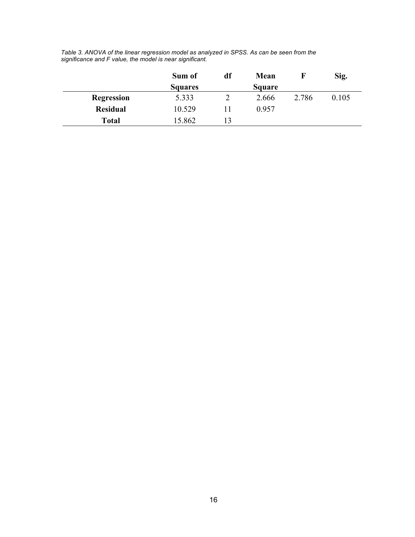|                 | Sum of         | df | Mean   |       | Sig.  |
|-----------------|----------------|----|--------|-------|-------|
|                 | <b>Squares</b> |    | Square |       |       |
| Regression      | 5.333          |    | 2.666  | 2.786 | 0.105 |
| <b>Residual</b> | 10.529         |    | 0.957  |       |       |
| <b>Total</b>    | 15.862         |    |        |       |       |

*Table 3. ANOVA of the linear regression model as analyzed in SPSS. As can be seen from the significance and F value, the model is near significant.*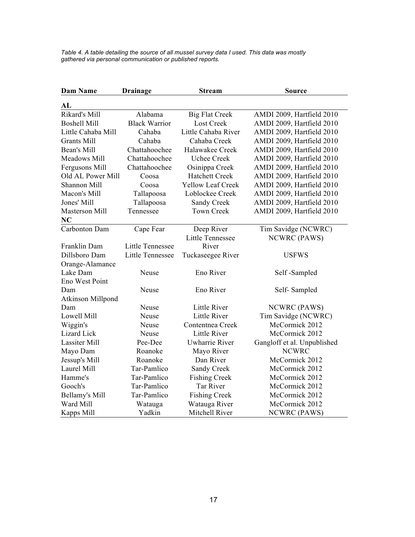*Table 4. A table detailing the source of all mussel survey data I used. This data was mostly gathered via personal communication or published reports.*

| <b>Dam Name</b>             | <b>Drainage</b>         | <b>Stream</b>            | <b>Source</b>               |  |  |  |
|-----------------------------|-------------------------|--------------------------|-----------------------------|--|--|--|
| AL                          |                         |                          |                             |  |  |  |
| Rikard's Mill               | Alabama                 | <b>Big Flat Creek</b>    | AMDI 2009, Hartfield 2010   |  |  |  |
| <b>Boshell Mill</b>         | <b>Black Warrior</b>    | <b>Lost Creek</b>        | AMDI 2009, Hartfield 2010   |  |  |  |
| Little Cahaba Mill          | Cahaba                  | Little Cahaba River      | AMDI 2009, Hartfield 2010   |  |  |  |
| <b>Grants Mill</b>          | Cahaba                  | Cahaba Creek             | AMDI 2009, Hartfield 2010   |  |  |  |
| Bean's Mill                 | Chattahoochee           | Halawakee Creek          | AMDI 2009, Hartfield 2010   |  |  |  |
| Meadows Mill                | Chattahoochee           | <b>Uchee Creek</b>       | AMDI 2009, Hartfield 2010   |  |  |  |
| Fergusons Mill              | Chattahoochee           | Osinippa Creek           | AMDI 2009, Hartfield 2010   |  |  |  |
| Old AL Power Mill           | Coosa                   | <b>Hatchett Creek</b>    | AMDI 2009, Hartfield 2010   |  |  |  |
| Shannon Mill                | Coosa                   | <b>Yellow Leaf Creek</b> | AMDI 2009, Hartfield 2010   |  |  |  |
| Macon's Mill                | Tallapoosa              | Loblockee Creek          | AMDI 2009, Hartfield 2010   |  |  |  |
| Jones' Mill                 | Tallapoosa              | Sandy Creek              | AMDI 2009, Hartfield 2010   |  |  |  |
| <b>Masterson Mill</b><br>NC | Tennessee               | <b>Town Creek</b>        | AMDI 2009, Hartfield 2010   |  |  |  |
| Carbonton Dam               | Cape Fear               | Deep River               | Tim Savidge (NCWRC)         |  |  |  |
|                             |                         | <b>Little Tennessee</b>  | NCWRC (PAWS)                |  |  |  |
| Franklin Dam                | <b>Little Tennessee</b> | River                    |                             |  |  |  |
| Dillsboro Dam               | Little Tennessee        | Tuckaseegee River        | <b>USFWS</b>                |  |  |  |
| Orange-Alamance             |                         |                          |                             |  |  |  |
| Lake Dam                    | Neuse                   | Eno River                | Self-Sampled                |  |  |  |
| Eno West Point              |                         |                          |                             |  |  |  |
| Dam                         | Neuse                   | Eno River                | Self-Sampled                |  |  |  |
| Atkinson Millpond           |                         |                          |                             |  |  |  |
| Dam                         | Neuse                   | Little River             | <b>NCWRC</b> (PAWS)         |  |  |  |
| Lowell Mill                 | Neuse                   | Little River             | Tim Savidge (NCWRC)         |  |  |  |
| Wiggin's                    | Neuse                   | Contentnea Creek         | McCormick 2012              |  |  |  |
| <b>Lizard</b> Lick          | Neuse                   | Little River             | McCormick 2012              |  |  |  |
| <b>Lassiter Mill</b>        | Pee-Dee                 | <b>Uwharrie River</b>    | Gangloff et al. Unpublished |  |  |  |
| Mayo Dam                    | Roanoke                 | Mayo River               | <b>NCWRC</b>                |  |  |  |
| Jessup's Mill               | Roanoke                 | Dan River                | McCormick 2012              |  |  |  |
| Laurel Mill                 | Tar-Pamlico             | Sandy Creek              | McCormick 2012              |  |  |  |
| Hamme's                     | Tar-Pamlico             | <b>Fishing Creek</b>     | McCormick 2012              |  |  |  |
| Gooch's                     | Tar-Pamlico             | Tar River                | McCormick 2012              |  |  |  |
| Bellamy's Mill              | Tar-Pamlico             | <b>Fishing Creek</b>     | McCormick 2012              |  |  |  |
| Ward Mill                   | Watauga                 | Watauga River            | McCormick 2012              |  |  |  |
| Kapps Mill                  | Yadkin                  | Mitchell River           | <b>NCWRC (PAWS)</b>         |  |  |  |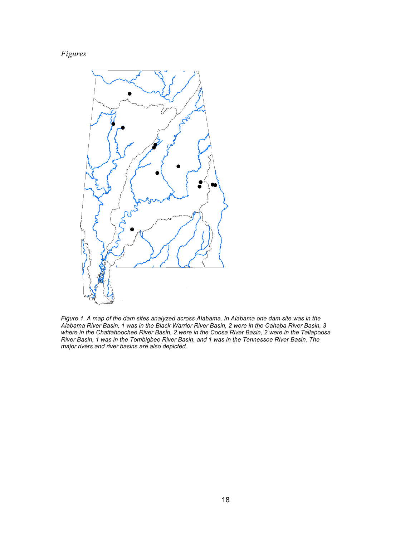# *Figures*



*Figure 1. A map of the dam sites analyzed across Alabama. In Alabama one dam site was in the Alabama River Basin, 1 was in the Black Warrior River Basin, 2 were in the Cahaba River Basin, 3 where in the Chattahoochee River Basin, 2 were in the Coosa River Basin, 2 were in the Tallapoosa River Basin, 1 was in the Tombigbee River Basin, and 1 was in the Tennessee River Basin. The major rivers and river basins are also depicted.*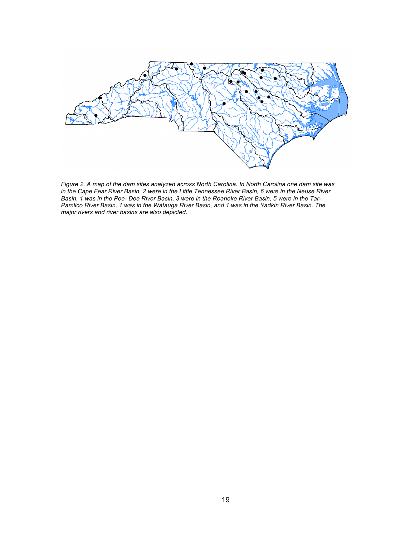

*Figure 2. A map of the dam sites analyzed across North Carolina. In North Carolina one dam site was in the Cape Fear River Basin, 2 were in the Little Tennessee River Basin, 6 were in the Neuse River Basin, 1 was in the Pee- Dee River Basin, 3 were in the Roanoke River Basin, 5 were in the Tar-Pamlico River Basin, 1 was in the Watauga River Basin, and 1 was in the Yadkin River Basin. The major rivers and river basins are also depicted.*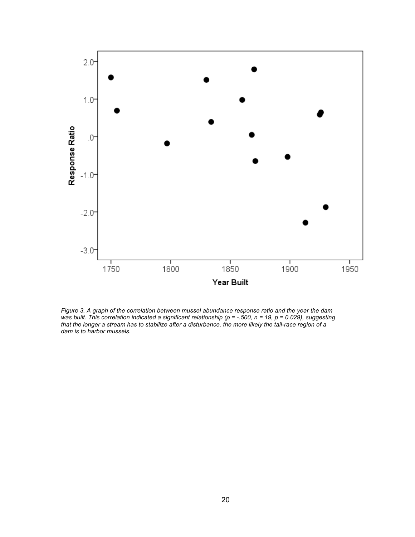

*Figure 3. A graph of the correlation between mussel abundance response ratio and the year the dam was built. This correlation indicated a significant relationship (ρ = -.500, n = 19, p = 0.029), suggesting that the longer a stream has to stabilize after a disturbance, the more likely the tail-race region of a dam is to harbor mussels.*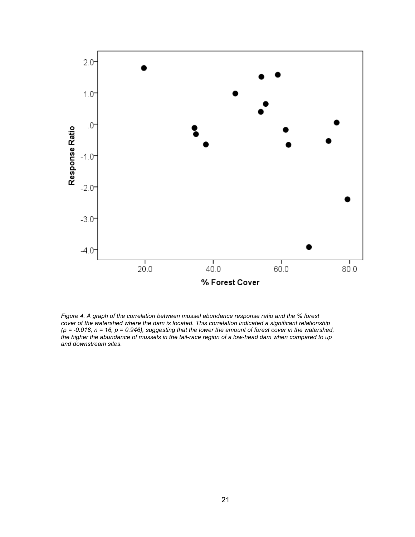

*Figure 4. A graph of the correlation between mussel abundance response ratio and the % forest cover of the watershed where the dam is located. This correlation indicated a significant relationship (ρ = -0.018, n = 16, p = 0.946), suggesting that the lower the amount of forest cover in the watershed, the higher the abundance of mussels in the tail-race region of a low-head dam when compared to up and downstream sites.*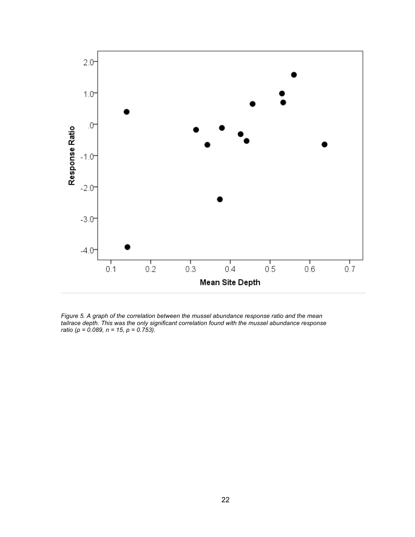

*Figure 5. A graph of the correlation between the mussel abundance response ratio and the mean tailrace depth. This was the only significant correlation found with the mussel abundance response ratio (ρ = 0.089, n = 15, p = 0.753).*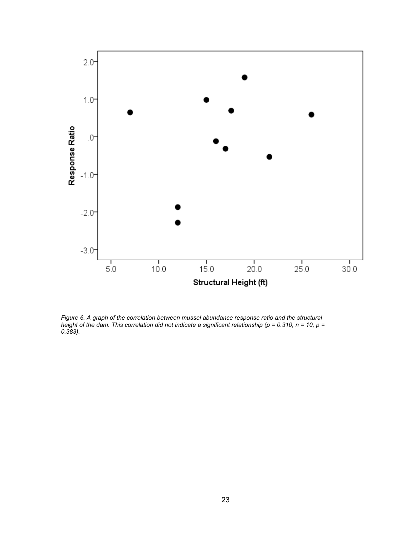

*Figure 6. A graph of the correlation between mussel abundance response ratio and the structural height of the dam. This correlation did not indicate a significant relationship (ρ = 0.310, n = 10, p = 0.383).*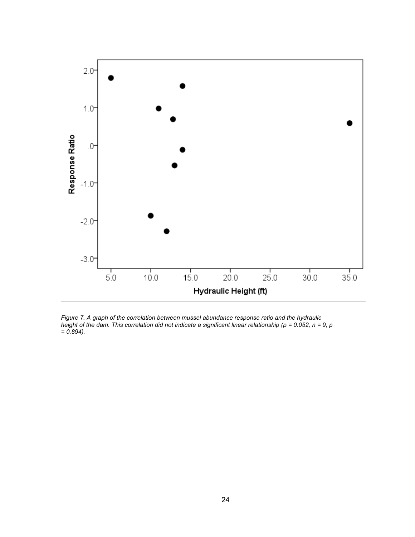

*Figure 7. A graph of the correlation between mussel abundance response ratio and the hydraulic height of the dam. This correlation did not indicate a significant linear relationship (ρ = 0.052, n = 9, p = 0.894).*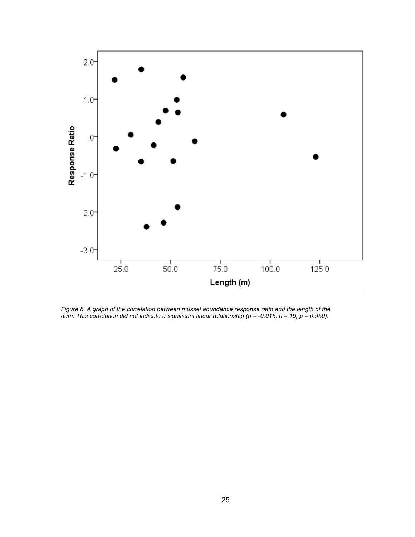

*Figure 8. A graph of the correlation between mussel abundance response ratio and the length of the dam. This correlation did not indicate a significant linear relationship (ρ = -0.015, n = 19, p = 0.950).*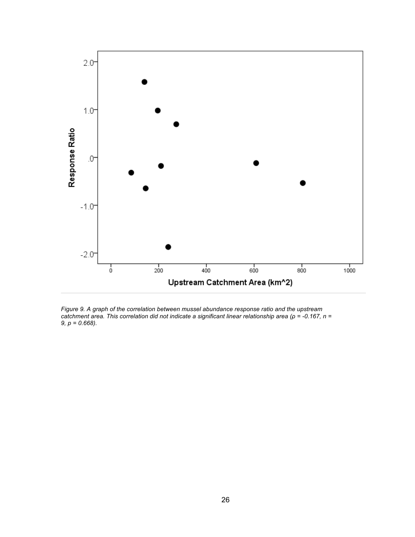

*Figure 9. A graph of the correlation between mussel abundance response ratio and the upstream catchment area. This correlation did not indicate a significant linear relationship area (ρ = -0.167, n = 9, p = 0.668).*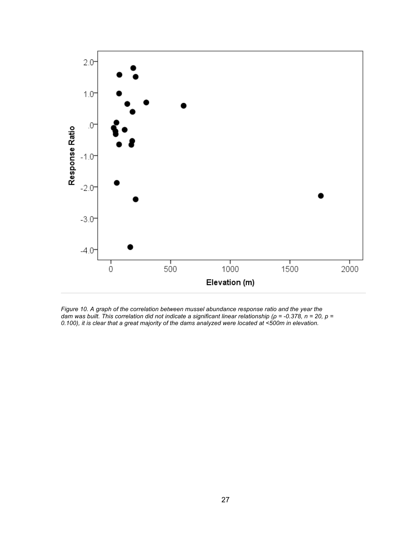

*Figure 10. A graph of the correlation between mussel abundance response ratio and the year the dam was built. This correlation did not indicate a significant linear relationship (ρ = -0.378, n = 20, p = 0.100), it is clear that a great majority of the dams analyzed were located at <500m in elevation.*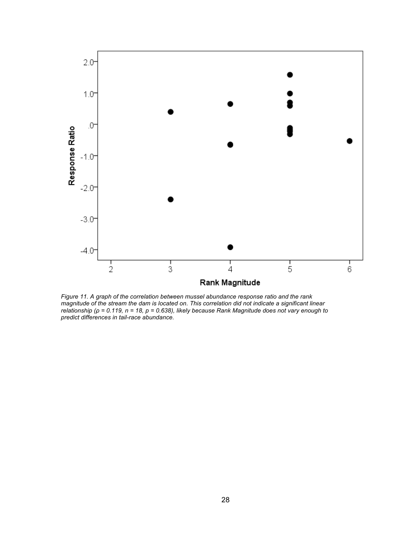

*Figure 11. A graph of the correlation between mussel abundance response ratio and the rank magnitude of the stream the dam is located on. This correlation did not indicate a significant linear relationship (ρ = 0.119, n = 18, p = 0.638), likely because Rank Magnitude does not vary enough to predict differences in tail-race abundance.*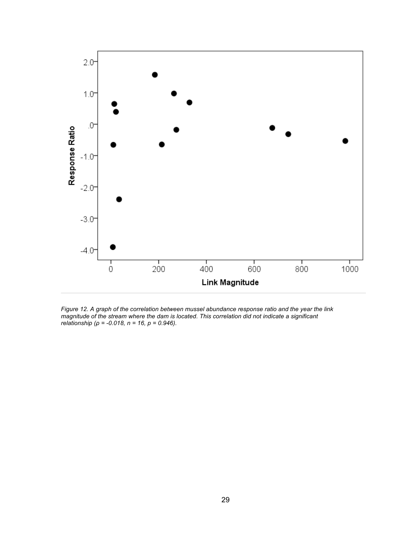

*Figure 12. A graph of the correlation between mussel abundance response ratio and the year the link magnitude of the stream where the dam is located. This correlation did not indicate a significant relationship (ρ = -0.018, n = 16, p = 0.946).*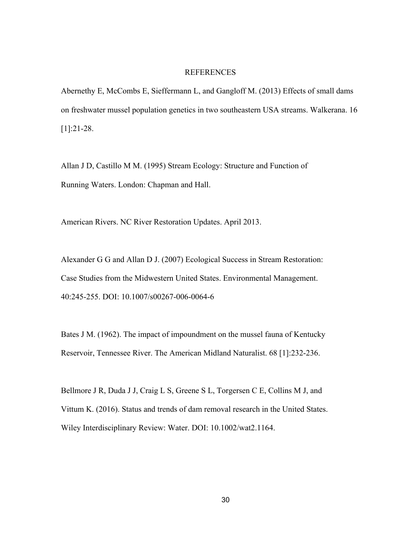## REFERENCES

Abernethy E, McCombs E, Sieffermann L, and Gangloff M. (2013) Effects of small dams on freshwater mussel population genetics in two southeastern USA streams. Walkerana. 16 [1]:21-28.

Allan J D, Castillo M M. (1995) Stream Ecology: Structure and Function of Running Waters. London: Chapman and Hall.

American Rivers. NC River Restoration Updates. April 2013.

Alexander G G and Allan D J. (2007) Ecological Success in Stream Restoration: Case Studies from the Midwestern United States. Environmental Management. 40:245-255. DOI: 10.1007/s00267-006-0064-6

Bates J M. (1962). The impact of impoundment on the mussel fauna of Kentucky Reservoir, Tennessee River. The American Midland Naturalist. 68 [1]:232-236.

Bellmore J R, Duda J J, Craig L S, Greene S L, Torgersen C E, Collins M J, and Vittum K. (2016). Status and trends of dam removal research in the United States. Wiley Interdisciplinary Review: Water. DOI: 10.1002/wat2.1164.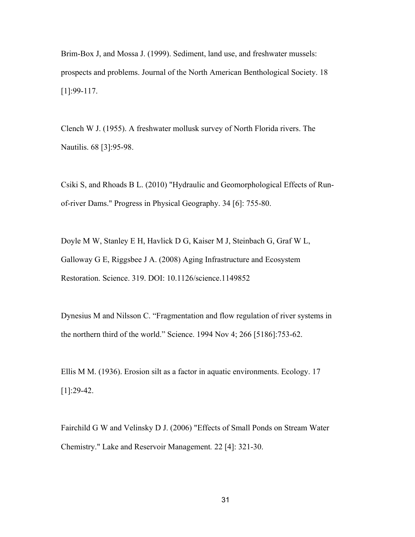Brim-Box J, and Mossa J. (1999). Sediment, land use, and freshwater mussels: prospects and problems. Journal of the North American Benthological Society. 18 [1]:99-117.

Clench W J. (1955). A freshwater mollusk survey of North Florida rivers. The Nautilis. 68 [3]:95-98.

Csiki S, and Rhoads B L. (2010) "Hydraulic and Geomorphological Effects of Runof-river Dams." Progress in Physical Geography. 34 [6]: 755-80.

Doyle M W, Stanley E H, Havlick D G, Kaiser M J, Steinbach G, Graf W L, Galloway G E, Riggsbee J A. (2008) Aging Infrastructure and Ecosystem Restoration. Science. 319. DOI: 10.1126/science.1149852

Dynesius M and Nilsson C. "Fragmentation and flow regulation of river systems in the northern third of the world." Science. 1994 Nov 4; 266 [5186]:753-62.

Ellis M M. (1936). Erosion silt as a factor in aquatic environments. Ecology. 17  $[1]$ :29-42.

Fairchild G W and Velinsky D J. (2006) "Effects of Small Ponds on Stream Water Chemistry." Lake and Reservoir Management*.* 22 [4]: 321-30.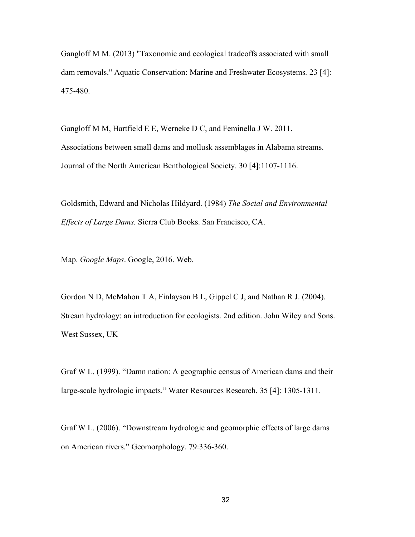Gangloff M M. (2013) "Taxonomic and ecological tradeoffs associated with small dam removals." Aquatic Conservation: Marine and Freshwater Ecosystems*.* 23 [4]: 475-480.

Gangloff M M, Hartfield E E, Werneke D C, and Feminella J W. 2011. Associations between small dams and mollusk assemblages in Alabama streams. Journal of the North American Benthological Society. 30 [4]:1107-1116.

Goldsmith, Edward and Nicholas Hildyard. (1984) *The Social and Environmental Effects of Large Dams.* Sierra Club Books. San Francisco, CA.

Map. *Google Maps*. Google, 2016. Web.

Gordon N D, McMahon T A, Finlayson B L, Gippel C J, and Nathan R J. (2004). Stream hydrology: an introduction for ecologists. 2nd edition. John Wiley and Sons. West Sussex, UK

Graf W L. (1999). "Damn nation: A geographic census of American dams and their large-scale hydrologic impacts." Water Resources Research. 35 [4]: 1305-1311.

Graf W L. (2006). "Downstream hydrologic and geomorphic effects of large dams on American rivers." Geomorphology. 79:336-360.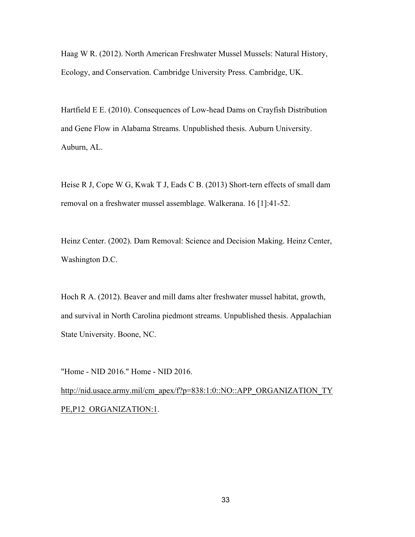Haag W R. (2012). North American Freshwater Mussel Mussels: Natural History, Ecology, and Conservation. Cambridge University Press. Cambridge, UK.

Hartfield E E. (2010). Consequences of Low-head Dams on Crayfish Distribution and Gene Flow in Alabama Streams. Unpublished thesis. Auburn University. Auburn, AL.

Heise R J, Cope W G, Kwak T J, Eads C B. (2013) Short-tern effects of small dam removal on a freshwater mussel assemblage. Walkerana. 16 [1]:41-52.

Heinz Center. (2002). Dam Removal: Science and Decision Making. Heinz Center, Washington D.C.

Hoch R A. (2012). Beaver and mill dams alter freshwater mussel habitat, growth, and survival in North Carolina piedmont streams. Unpublished thesis. Appalachian State University. Boone, NC.

"Home - NID 2016." Home - NID 2016. http://nid.usace.army.mil/cm\_apex/f?p=838:1:0::NO::APP\_ORGANIZATION\_TY\_ PE, P12\_ORGANIZATION:1.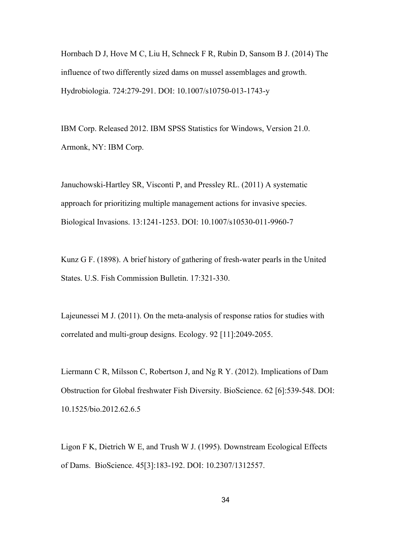Hornbach D J, Hove M C, Liu H, Schneck F R, Rubin D, Sansom B J. (2014) The influence of two differently sized dams on mussel assemblages and growth. Hydrobiologia. 724:279-291. DOI: 10.1007/s10750-013-1743-y

IBM Corp. Released 2012. IBM SPSS Statistics for Windows, Version 21.0. Armonk, NY: IBM Corp.

Januchowski-Hartley SR, Visconti P, and Pressley RL. (2011) A systematic approach for prioritizing multiple management actions for invasive species. Biological Invasions. 13:1241-1253. DOI: 10.1007/s10530-011-9960-7

Kunz G F. (1898). A brief history of gathering of fresh-water pearls in the United States. U.S. Fish Commission Bulletin. 17:321-330.

Lajeunessei M J. (2011). On the meta-analysis of response ratios for studies with correlated and multi-group designs. Ecology. 92 [11]:2049-2055.

Liermann C R, Milsson C, Robertson J, and Ng R Y. (2012). Implications of Dam Obstruction for Global freshwater Fish Diversity. BioScience. 62 [6]:539-548. DOI: 10.1525/bio.2012.62.6.5

Ligon F K, Dietrich W E, and Trush W J. (1995). Downstream Ecological Effects of Dams. BioScience. 45[3]:183-192. DOI: 10.2307/1312557.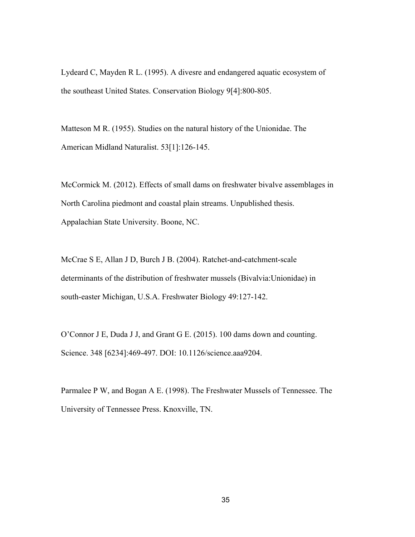Lydeard C, Mayden R L. (1995). A divesre and endangered aquatic ecosystem of the southeast United States. Conservation Biology 9[4]:800-805.

Matteson M R. (1955). Studies on the natural history of the Unionidae. The American Midland Naturalist. 53[1]:126-145.

McCormick M. (2012). Effects of small dams on freshwater bivalve assemblages in North Carolina piedmont and coastal plain streams. Unpublished thesis. Appalachian State University. Boone, NC.

McCrae S E, Allan J D, Burch J B. (2004). Ratchet-and-catchment-scale determinants of the distribution of freshwater mussels (Bivalvia:Unionidae) in south-easter Michigan, U.S.A. Freshwater Biology 49:127-142.

O'Connor J E, Duda J J, and Grant G E. (2015). 100 dams down and counting. Science. 348 [6234]:469-497. DOI: 10.1126/science.aaa9204.

Parmalee P W, and Bogan A E. (1998). The Freshwater Mussels of Tennessee. The University of Tennessee Press. Knoxville, TN.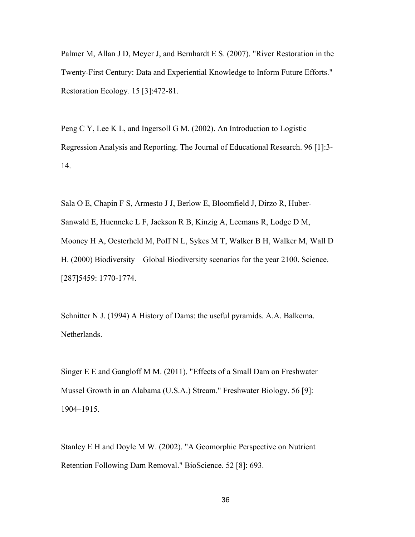Palmer M, Allan J D, Meyer J, and Bernhardt E S. (2007). "River Restoration in the Twenty-First Century: Data and Experiential Knowledge to Inform Future Efforts." Restoration Ecology*.* 15 [3]:472-81.

Peng C Y, Lee K L, and Ingersoll G M. (2002). An Introduction to Logistic Regression Analysis and Reporting. The Journal of Educational Research. 96 [1]:3- 14.

Sala O E, Chapin F S, Armesto J J, Berlow E, Bloomfield J, Dirzo R, Huber-Sanwald E, Huenneke L F, Jackson R B, Kinzig A, Leemans R, Lodge D M, Mooney H A, Oesterheld M, Poff N L, Sykes M T, Walker B H, Walker M, Wall D H. (2000) Biodiversity – Global Biodiversity scenarios for the year 2100. Science. [287]5459: 1770-1774.

Schnitter N J. (1994) A History of Dams: the useful pyramids. A.A. Balkema. Netherlands.

Singer E E and Gangloff M M. (2011). "Effects of a Small Dam on Freshwater Mussel Growth in an Alabama (U.S.A.) Stream." Freshwater Biology. 56 [9]: 1904–1915.

Stanley E H and Doyle M W. (2002). "A Geomorphic Perspective on Nutrient Retention Following Dam Removal." BioScience. 52 [8]: 693.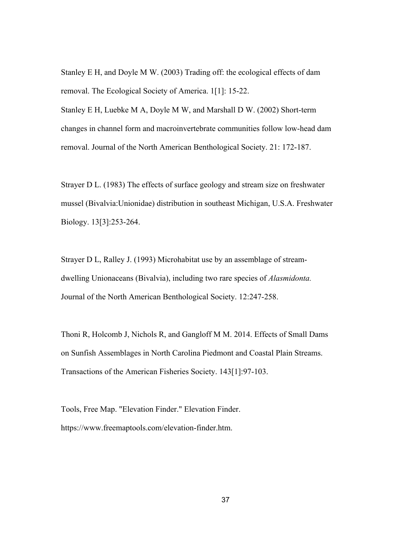Stanley E H, and Doyle M W. (2003) Trading off: the ecological effects of dam removal. The Ecological Society of America. 1[1]: 15-22.

Stanley E H, Luebke M A, Doyle M W, and Marshall D W. (2002) Short-term changes in channel form and macroinvertebrate communities follow low-head dam removal. Journal of the North American Benthological Society. 21: 172-187.

Strayer D L. (1983) The effects of surface geology and stream size on freshwater mussel (Bivalvia:Unionidae) distribution in southeast Michigan, U.S.A. Freshwater Biology. 13[3]:253-264.

Strayer D L, Ralley J. (1993) Microhabitat use by an assemblage of streamdwelling Unionaceans (Bivalvia), including two rare species of *Alasmidonta.* Journal of the North American Benthological Society. 12:247-258.

Thoni R, Holcomb J, Nichols R, and Gangloff M M. 2014. Effects of Small Dams on Sunfish Assemblages in North Carolina Piedmont and Coastal Plain Streams. Transactions of the American Fisheries Society. 143[1]:97-103.

Tools, Free Map. "Elevation Finder." Elevation Finder. https://www.freemaptools.com/elevation-finder.htm.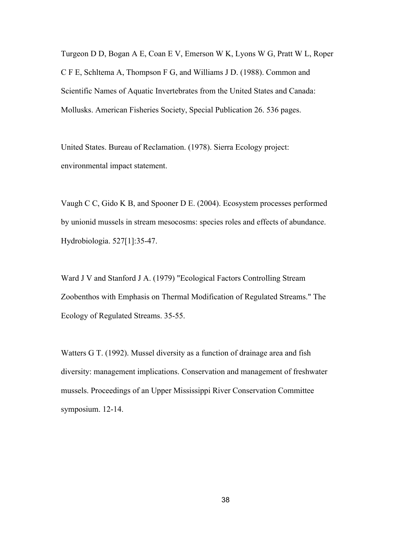Turgeon D D, Bogan A E, Coan E V, Emerson W K, Lyons W G, Pratt W L, Roper C F E, Schltema A, Thompson F G, and Williams J D. (1988). Common and Scientific Names of Aquatic Invertebrates from the United States and Canada: Mollusks. American Fisheries Society, Special Publication 26. 536 pages.

United States. Bureau of Reclamation. (1978). Sierra Ecology project: environmental impact statement.

Vaugh C C, Gido K B, and Spooner D E. (2004). Ecosystem processes performed by unionid mussels in stream mesocosms: species roles and effects of abundance. Hydrobiologia. 527[1]:35-47.

Ward J V and Stanford J A. (1979) "Ecological Factors Controlling Stream Zoobenthos with Emphasis on Thermal Modification of Regulated Streams." The Ecology of Regulated Streams. 35-55.

Watters G T. (1992). Mussel diversity as a function of drainage area and fish diversity: management implications. Conservation and management of freshwater mussels. Proceedings of an Upper Mississippi River Conservation Committee symposium. 12-14.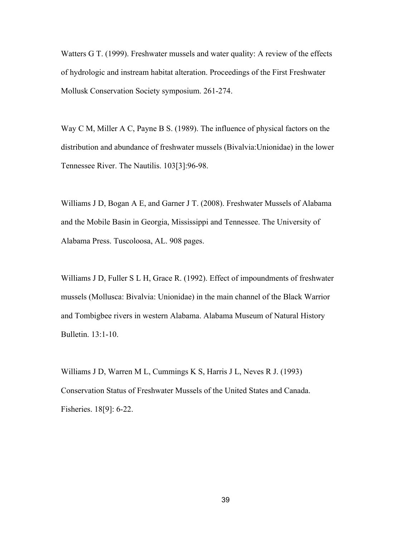Watters G T. (1999). Freshwater mussels and water quality: A review of the effects of hydrologic and instream habitat alteration. Proceedings of the First Freshwater Mollusk Conservation Society symposium. 261-274.

Way C M, Miller A C, Payne B S. (1989). The influence of physical factors on the distribution and abundance of freshwater mussels (Bivalvia:Unionidae) in the lower Tennessee River. The Nautilis. 103[3]:96-98.

Williams J D, Bogan A E, and Garner J T. (2008). Freshwater Mussels of Alabama and the Mobile Basin in Georgia, Mississippi and Tennessee. The University of Alabama Press. Tuscoloosa, AL. 908 pages.

Williams J D, Fuller S L H, Grace R. (1992). Effect of impoundments of freshwater mussels (Mollusca: Bivalvia: Unionidae) in the main channel of the Black Warrior and Tombigbee rivers in western Alabama. Alabama Museum of Natural History Bulletin. 13:1-10.

Williams J D, Warren M L, Cummings K S, Harris J L, Neves R J. (1993) Conservation Status of Freshwater Mussels of the United States and Canada. Fisheries. 18[9]: 6-22.